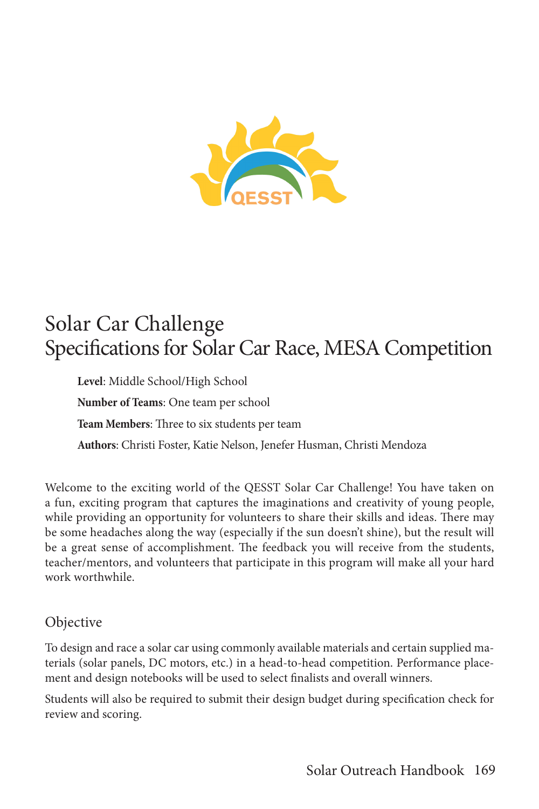

# Solar Car Challenge Specifications for Solar Car Race, MESA Competition

**Level**: Middle School/High School **Number of Teams**: One team per school **Team Members**: Three to six students per team **Authors**: Christi Foster, Katie Nelson, Jenefer Husman, Christi Mendoza

Welcome to the exciting world of the QESST Solar Car Challenge! You have taken on a fun, exciting program that captures the imaginations and creativity of young people, while providing an opportunity for volunteers to share their skills and ideas. There may be some headaches along the way (especially if the sun doesn't shine), but the result will be a great sense of accomplishment. The feedback you will receive from the students, teacher/mentors, and volunteers that participate in this program will make all your hard work worthwhile.

### Objective

To design and race a solar car using commonly available materials and certain supplied materials (solar panels, DC motors, etc.) in a head-to-head competition. Performance placement and design notebooks will be used to select finalists and overall winners.

Students will also be required to submit their design budget during specification check for review and scoring.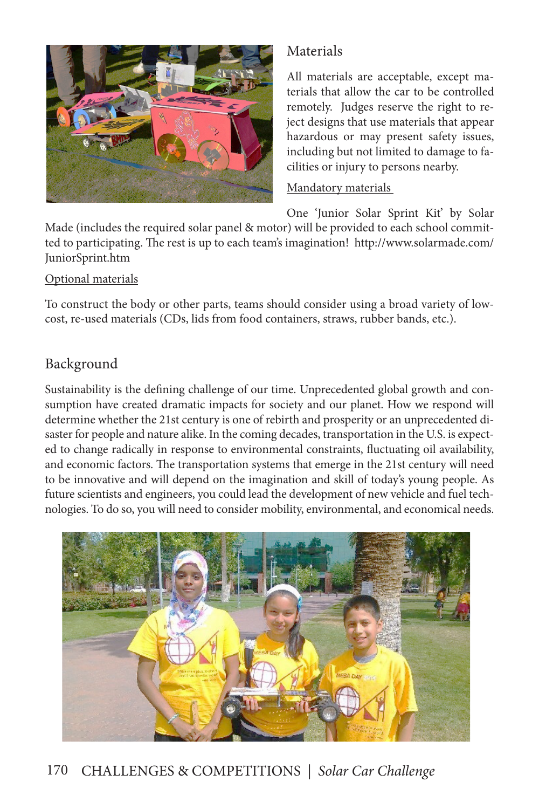

# Materials

All materials are acceptable, except materials that allow the car to be controlled remotely. Judges reserve the right to reject designs that use materials that appear hazardous or may present safety issues, including but not limited to damage to facilities or injury to persons nearby.

#### Mandatory materials

One 'Junior Solar Sprint Kit' by Solar

Made (includes the required solar panel & motor) will be provided to each school committed to participating. The rest is up to each team's imagination! http://www.solarmade.com/ JuniorSprint.htm

#### Optional materials

To construct the body or other parts, teams should consider using a broad variety of lowcost, re-used materials (CDs, lids from food containers, straws, rubber bands, etc.).

# Background

Sustainability is the defining challenge of our time. Unprecedented global growth and consumption have created dramatic impacts for society and our planet. How we respond will determine whether the 21st century is one of rebirth and prosperity or an unprecedented disaster for people and nature alike. In the coming decades, transportation in the U.S. is expected to change radically in response to environmental constraints, fluctuating oil availability, and economic factors. The transportation systems that emerge in the 21st century will need to be innovative and will depend on the imagination and skill of today's young people. As future scientists and engineers, you could lead the development of new vehicle and fuel technologies. To do so, you will need to consider mobility, environmental, and economical needs.



# 170 CHALLENGES & COMPETITIONS *| Solar Car Challenge*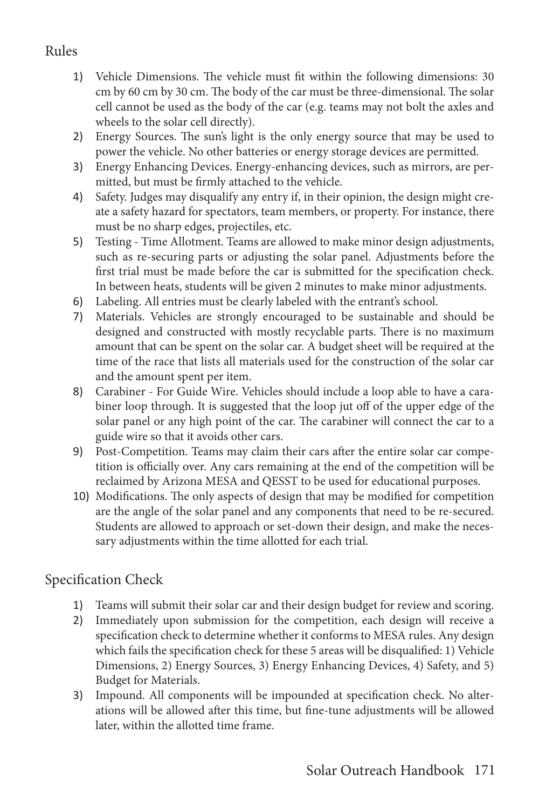# Rules

- 1) Vehicle Dimensions. The vehicle must fit within the following dimensions: 30 cm by 60 cm by 30 cm. The body of the car must be three-dimensional. The solar cell cannot be used as the body of the car (e.g. teams may not bolt the axles and wheels to the solar cell directly).
- 2) Energy Sources. The sun's light is the only energy source that may be used to power the vehicle. No other batteries or energy storage devices are permitted.
- 3) Energy Enhancing Devices. Energy-enhancing devices, such as mirrors, are permitted, but must be firmly attached to the vehicle.
- 4) Safety. Judges may disqualify any entry if, in their opinion, the design might create a safety hazard for spectators, team members, or property. For instance, there must be no sharp edges, projectiles, etc.
- 5) Testing Time Allotment. Teams are allowed to make minor design adjustments, such as re-securing parts or adjusting the solar panel. Adjustments before the first trial must be made before the car is submitted for the specification check. In between heats, students will be given 2 minutes to make minor adjustments.
- 6) Labeling. All entries must be clearly labeled with the entrant's school.
- 7) Materials. Vehicles are strongly encouraged to be sustainable and should be designed and constructed with mostly recyclable parts. There is no maximum amount that can be spent on the solar car. A budget sheet will be required at the time of the race that lists all materials used for the construction of the solar car and the amount spent per item.
- 8) Carabiner For Guide Wire. Vehicles should include a loop able to have a carabiner loop through. It is suggested that the loop jut off of the upper edge of the solar panel or any high point of the car. The carabiner will connect the car to a guide wire so that it avoids other cars.
- 9) Post-Competition. Teams may claim their cars after the entire solar car competition is officially over. Any cars remaining at the end of the competition will be reclaimed by Arizona MESA and QESST to be used for educational purposes.
- 10) Modifications. The only aspects of design that may be modified for competition are the angle of the solar panel and any components that need to be re-secured. Students are allowed to approach or set-down their design, and make the necessary adjustments within the time allotted for each trial.

# Specification Check

- 1) Teams will submit their solar car and their design budget for review and scoring.
- 2) Immediately upon submission for the competition, each design will receive a specification check to determine whether it conforms to MESA rules. Any design which fails the specification check for these 5 areas will be disqualified: 1) Vehicle Dimensions, 2) Energy Sources, 3) Energy Enhancing Devices, 4) Safety, and 5) Budget for Materials.
- 3) Impound. All components will be impounded at specification check. No alterations will be allowed after this time, but fine-tune adjustments will be allowed later, within the allotted time frame.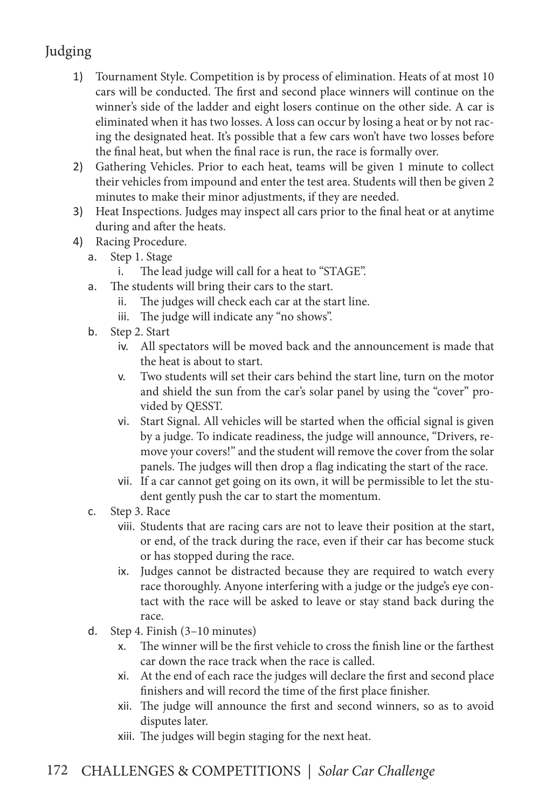# Judging

- 1) Tournament Style. Competition is by process of elimination. Heats of at most 10 cars will be conducted. The first and second place winners will continue on the winner's side of the ladder and eight losers continue on the other side. A car is eliminated when it has two losses. A loss can occur by losing a heat or by not racing the designated heat. It's possible that a few cars won't have two losses before the final heat, but when the final race is run, the race is formally over.
- 2) Gathering Vehicles. Prior to each heat, teams will be given 1 minute to collect their vehicles from impound and enter the test area. Students will then be given 2 minutes to make their minor adjustments, if they are needed.
- 3) Heat Inspections. Judges may inspect all cars prior to the final heat or at anytime during and after the heats.
- 4) Racing Procedure.
	- a. Step 1. Stage
		- i. The lead judge will call for a heat to "STAGE".
	- a. The students will bring their cars to the start.
		- ii. The judges will check each car at the start line.
		- iii. The judge will indicate any "no shows".
	- b. Step 2. Start
		- iv. All spectators will be moved back and the announcement is made that the heat is about to start.
		- v. Two students will set their cars behind the start line, turn on the motor and shield the sun from the car's solar panel by using the "cover" provided by QESST.
		- vi. Start Signal. All vehicles will be started when the official signal is given by a judge. To indicate readiness, the judge will announce, "Drivers, remove your covers!" and the student will remove the cover from the solar panels. The judges will then drop a flag indicating the start of the race.
		- vii. If a car cannot get going on its own, it will be permissible to let the student gently push the car to start the momentum.
	- c. Step 3. Race
		- viii. Students that are racing cars are not to leave their position at the start, or end, of the track during the race, even if their car has become stuck or has stopped during the race.
		- ix. Judges cannot be distracted because they are required to watch every race thoroughly. Anyone interfering with a judge or the judge's eye contact with the race will be asked to leave or stay stand back during the race.
	- d. Step 4. Finish (3–10 minutes)
		- x. The winner will be the first vehicle to cross the finish line or the farthest car down the race track when the race is called.
		- xi. At the end of each race the judges will declare the first and second place finishers and will record the time of the first place finisher.
		- xii. The judge will announce the first and second winners, so as to avoid disputes later.
		- xiii. The judges will begin staging for the next heat.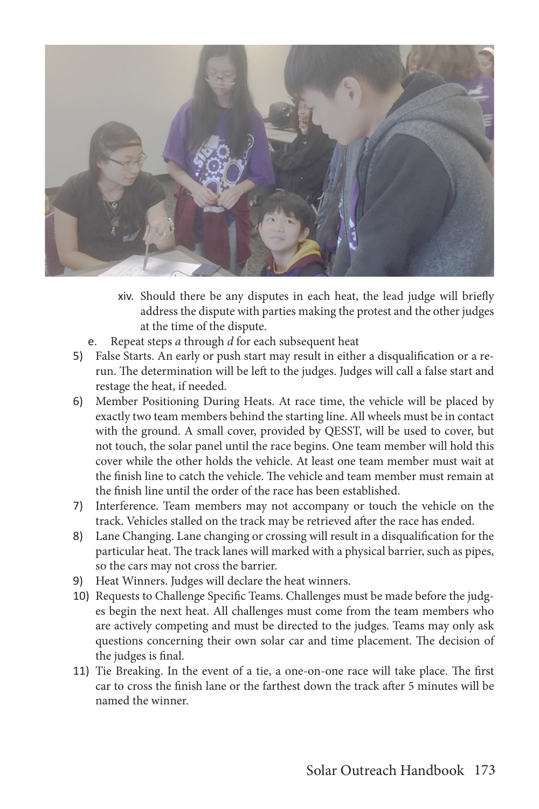

- xiv. Should there be any disputes in each heat, the lead judge will briefly address the dispute with parties making the protest and the other judges at the time of the dispute.
- e. Repeat steps *a* through *d* for each subsequent heat
- 5) False Starts. An early or push start may result in either a disqualification or a rerun. The determination will be left to the judges. Judges will call a false start and restage the heat, if needed.
- 6) Member Positioning During Heats. At race time, the vehicle will be placed by exactly two team members behind the starting line. All wheels must be in contact with the ground. A small cover, provided by QESST, will be used to cover, but not touch, the solar panel until the race begins. One team member will hold this cover while the other holds the vehicle. At least one team member must wait at the finish line to catch the vehicle. The vehicle and team member must remain at the finish line until the order of the race has been established.
- 7) Interference. Team members may not accompany or touch the vehicle on the track. Vehicles stalled on the track may be retrieved after the race has ended.
- 8) Lane Changing. Lane changing or crossing will result in a disqualification for the particular heat. The track lanes will marked with a physical barrier, such as pipes, so the cars may not cross the barrier.
- 9) Heat Winners. Judges will declare the heat winners.
- 10) Requests to Challenge Specific Teams. Challenges must be made before the judges begin the next heat. All challenges must come from the team members who are actively competing and must be directed to the judges. Teams may only ask questions concerning their own solar car and time placement. The decision of the judges is final.
- 11) Tie Breaking. In the event of a tie, a one-on-one race will take place. The first car to cross the finish lane or the farthest down the track after 5 minutes will be named the winner.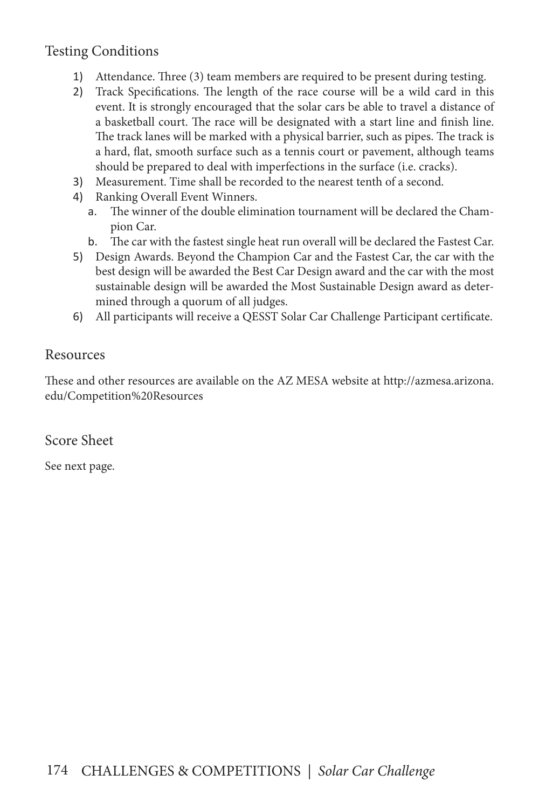### Testing Conditions

- 1) Attendance. Three (3) team members are required to be present during testing.
- 2) Track Specifications. The length of the race course will be a wild card in this event. It is strongly encouraged that the solar cars be able to travel a distance of a basketball court. The race will be designated with a start line and finish line. The track lanes will be marked with a physical barrier, such as pipes. The track is a hard, flat, smooth surface such as a tennis court or pavement, although teams should be prepared to deal with imperfections in the surface (i.e. cracks).
- 3) Measurement. Time shall be recorded to the nearest tenth of a second.
- 4) Ranking Overall Event Winners.
	- a. The winner of the double elimination tournament will be declared the Champion Car.
	- b. The car with the fastest single heat run overall will be declared the Fastest Car.
- 5) Design Awards. Beyond the Champion Car and the Fastest Car, the car with the best design will be awarded the Best Car Design award and the car with the most sustainable design will be awarded the Most Sustainable Design award as determined through a quorum of all judges.
- 6) All participants will receive a QESST Solar Car Challenge Participant certificate.

### Resources

These and other resources are available on the AZ MESA website at http://azmesa.arizona. edu/Competition%20Resources

Score Sheet

See next page.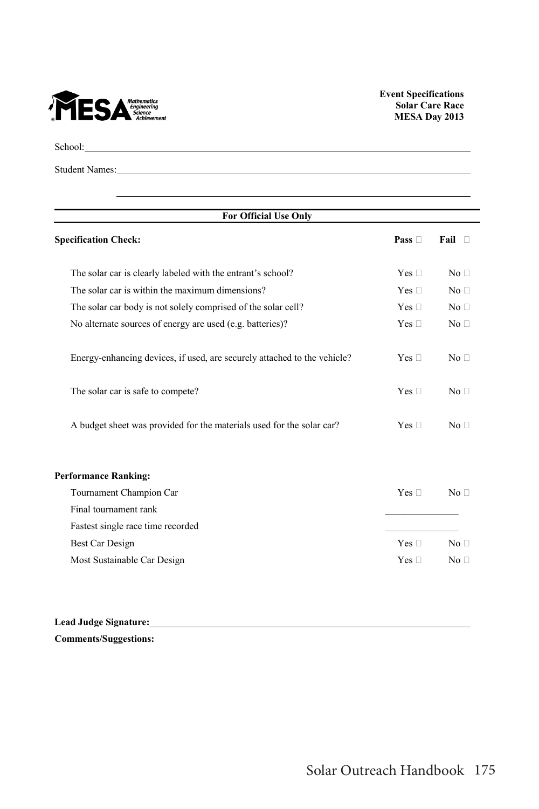

School: The contract of the contract of the contract of the contract of the contract of the contract of the contract of the contract of the contract of the contract of the contract of the contract of the contract of the co

Student Names:

| <b>For Official Use Only</b>                                             |               |                 |
|--------------------------------------------------------------------------|---------------|-----------------|
| <b>Specification Check:</b>                                              | Pass $\Box$   | Fail $\Box$     |
| The solar car is clearly labeled with the entrant's school?              | Yes $\square$ | No <sub>1</sub> |
| The solar car is within the maximum dimensions?                          | Yes $\square$ | No <sub>1</sub> |
| The solar car body is not solely comprised of the solar cell?            | Yes $\square$ | No <sub>1</sub> |
| No alternate sources of energy are used (e.g. batteries)?                | Yes $\square$ | No <sub>1</sub> |
| Energy-enhancing devices, if used, are securely attached to the vehicle? | Yes $\square$ | No <sub>1</sub> |
| The solar car is safe to compete?                                        | Yes $\square$ | No <sub>1</sub> |
| A budget sheet was provided for the materials used for the solar car?    | Yes $\square$ | No <sub>1</sub> |
| <b>Performance Ranking:</b>                                              |               |                 |
| Tournament Champion Car                                                  | Yes $\square$ | No <sub>1</sub> |
| Final tournament rank                                                    |               |                 |
| Fastest single race time recorded                                        |               |                 |
| Best Car Design                                                          | Yes $\square$ | No <sub>1</sub> |
| Most Sustainable Car Design                                              | Yes $\square$ | No <sub>1</sub> |

**Lead Judge Signature: Comments/Suggestions:**